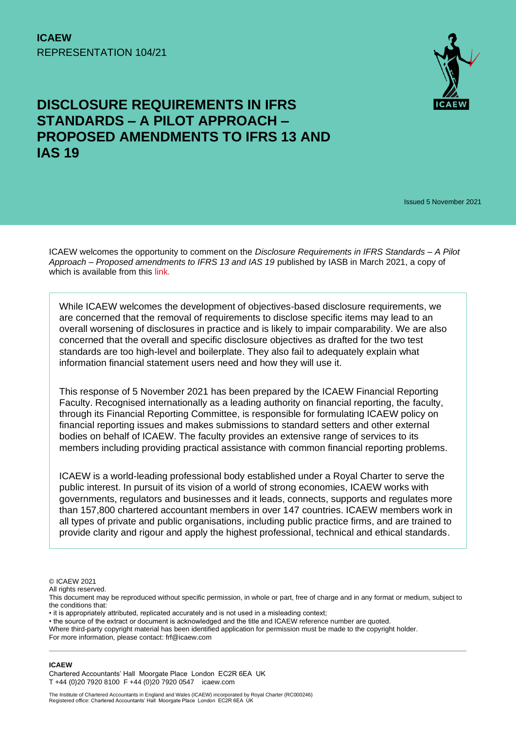

# **DISCLOSURE REQUIREMENTS IN IFRS STANDARDS – A PILOT APPROACH – PROPOSED AMENDMENTS TO IFRS 13 AND IAS 19**

Issued 5 November 2021

ICAEW welcomes the opportunity to comment on the *Disclosure Requirements in IFRS Standards – A Pilot Approach – Proposed amendments to IFRS 13 and IAS 19* published by IASB in March 2021, a copy of which is available from this [link.](about:blank)

While ICAEW welcomes the development of objectives-based disclosure requirements, we are concerned that the removal of requirements to disclose specific items may lead to an overall worsening of disclosures in practice and is likely to impair comparability. We are also concerned that the overall and specific disclosure objectives as drafted for the two test standards are too high-level and boilerplate. They also fail to adequately explain what information financial statement users need and how they will use it.

This response of 5 November 2021 has been prepared by the ICAEW Financial Reporting Faculty. Recognised internationally as a leading authority on financial reporting, the faculty, through its Financial Reporting Committee, is responsible for formulating ICAEW policy on financial reporting issues and makes submissions to standard setters and other external bodies on behalf of ICAEW. The faculty provides an extensive range of services to its members including providing practical assistance with common financial reporting problems.

ICAEW is a world-leading professional body established under a Royal Charter to serve the public interest. In pursuit of its vision of a world of strong economies, ICAEW works with governments, regulators and businesses and it leads, connects, supports and regulates more than 157,800 chartered accountant members in over 147 countries. ICAEW members work in all types of private and public organisations, including public practice firms, and are trained to provide clarity and rigour and apply the highest professional, technical and ethical standards.

© ICAEW 2021

All rights reserved.

#### **ICAEW**

Chartered Accountants' Hall Moorgate Place London EC2R 6EA UK T +44 (0)20 7920 8100 F +44 (0)20 7920 0547 icaew.com

This document may be reproduced without specific permission, in whole or part, free of charge and in any format or medium, subject to the conditions that:

<sup>•</sup> it is appropriately attributed, replicated accurately and is not used in a misleading context;

<sup>•</sup> the source of the extract or document is acknowledged and the title and ICAEW reference number are quoted.

Where third-party copyright material has been identified application for permission must be made to the copyright holder. For more information, please contact: frf@icaew.com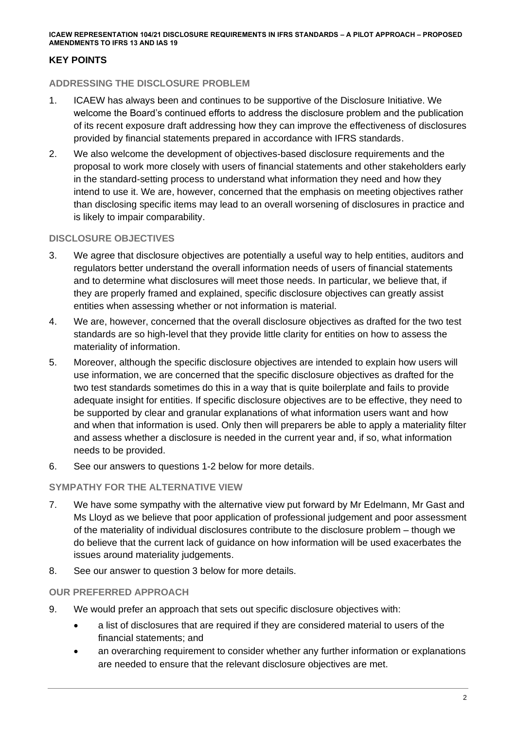# **KEY POINTS**

### **ADDRESSING THE DISCLOSURE PROBLEM**

- 1. ICAEW has always been and continues to be supportive of the Disclosure Initiative. We welcome the Board's continued efforts to address the disclosure problem and the publication of its recent exposure draft addressing how they can improve the effectiveness of disclosures provided by financial statements prepared in accordance with IFRS standards.
- 2. We also welcome the development of objectives-based disclosure requirements and the proposal to work more closely with users of financial statements and other stakeholders early in the standard-setting process to understand what information they need and how they intend to use it. We are, however, concerned that the emphasis on meeting objectives rather than disclosing specific items may lead to an overall worsening of disclosures in practice and is likely to impair comparability.

## **DISCLOSURE OBJECTIVES**

- 3. We agree that disclosure objectives are potentially a useful way to help entities, auditors and regulators better understand the overall information needs of users of financial statements and to determine what disclosures will meet those needs. In particular, we believe that, if they are properly framed and explained, specific disclosure objectives can greatly assist entities when assessing whether or not information is material.
- 4. We are, however, concerned that the overall disclosure objectives as drafted for the two test standards are so high-level that they provide little clarity for entities on how to assess the materiality of information.
- 5. Moreover, although the specific disclosure objectives are intended to explain how users will use information, we are concerned that the specific disclosure objectives as drafted for the two test standards sometimes do this in a way that is quite boilerplate and fails to provide adequate insight for entities. If specific disclosure objectives are to be effective, they need to be supported by clear and granular explanations of what information users want and how and when that information is used. Only then will preparers be able to apply a materiality filter and assess whether a disclosure is needed in the current year and, if so, what information needs to be provided.
- 6. See our answers to questions 1-2 below for more details.

### **SYMPATHY FOR THE ALTERNATIVE VIEW**

- 7. We have some sympathy with the alternative view put forward by Mr Edelmann, Mr Gast and Ms Lloyd as we believe that poor application of professional judgement and poor assessment of the materiality of individual disclosures contribute to the disclosure problem – though we do believe that the current lack of guidance on how information will be used exacerbates the issues around materiality judgements.
- 8. See our answer to question 3 below for more details.

### **OUR PREFERRED APPROACH**

- 9. We would prefer an approach that sets out specific disclosure objectives with:
	- a list of disclosures that are required if they are considered material to users of the financial statements; and
	- an overarching requirement to consider whether any further information or explanations are needed to ensure that the relevant disclosure objectives are met.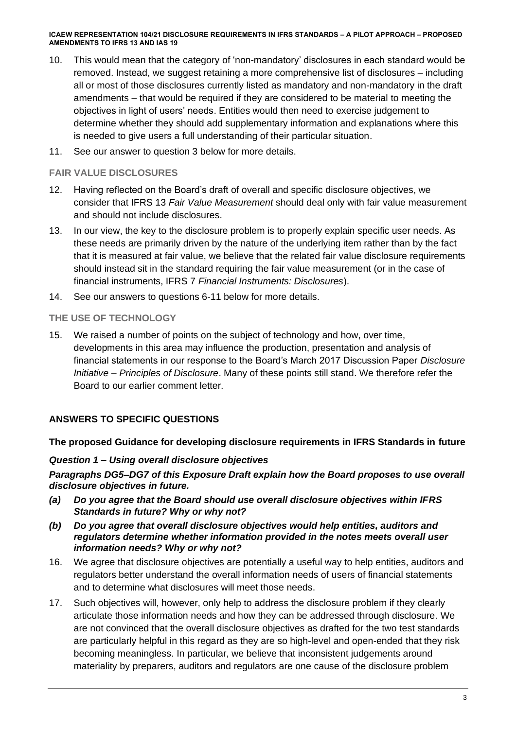- 10. This would mean that the category of 'non-mandatory' disclosures in each standard would be removed. Instead, we suggest retaining a more comprehensive list of disclosures – including all or most of those disclosures currently listed as mandatory and non-mandatory in the draft amendments – that would be required if they are considered to be material to meeting the objectives in light of users' needs. Entities would then need to exercise judgement to determine whether they should add supplementary information and explanations where this is needed to give users a full understanding of their particular situation.
- 11. See our answer to question 3 below for more details.

## **FAIR VALUE DISCLOSURES**

- 12. Having reflected on the Board's draft of overall and specific disclosure objectives, we consider that IFRS 13 *Fair Value Measurement* should deal only with fair value measurement and should not include disclosures.
- 13. In our view, the key to the disclosure problem is to properly explain specific user needs. As these needs are primarily driven by the nature of the underlying item rather than by the fact that it is measured at fair value, we believe that the related fair value disclosure requirements should instead sit in the standard requiring the fair value measurement (or in the case of financial instruments, IFRS 7 *Financial Instruments: Disclosures*).
- 14. See our answers to questions 6-11 below for more details.

## **THE USE OF TECHNOLOGY**

15. We raised a number of points on the subject of technology and how, over time, developments in this area may influence the production, presentation and analysis of financial statements in our response to the Board's March 2017 Discussion Paper *Disclosure Initiative – Principles of Disclosure*. Many of these points still stand. We therefore refer the Board to our earlier comment letter.

# **ANSWERS TO SPECIFIC QUESTIONS**

# **The proposed Guidance for developing disclosure requirements in IFRS Standards in future**

### *Question 1 – Using overall disclosure objectives*

*Paragraphs DG5–DG7 of this Exposure Draft explain how the Board proposes to use overall disclosure objectives in future.* 

- *(a) Do you agree that the Board should use overall disclosure objectives within IFRS Standards in future? Why or why not?*
- *(b) Do you agree that overall disclosure objectives would help entities, auditors and regulators determine whether information provided in the notes meets overall user information needs? Why or why not?*
- 16. We agree that disclosure objectives are potentially a useful way to help entities, auditors and regulators better understand the overall information needs of users of financial statements and to determine what disclosures will meet those needs.
- 17. Such objectives will, however, only help to address the disclosure problem if they clearly articulate those information needs and how they can be addressed through disclosure. We are not convinced that the overall disclosure objectives as drafted for the two test standards are particularly helpful in this regard as they are so high-level and open-ended that they risk becoming meaningless. In particular, we believe that inconsistent judgements around materiality by preparers, auditors and regulators are one cause of the disclosure problem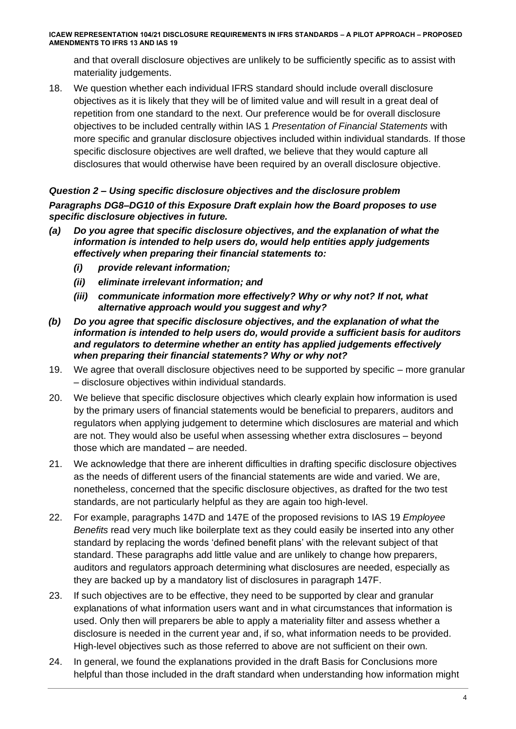and that overall disclosure objectives are unlikely to be sufficiently specific as to assist with materiality judgements.

18. We question whether each individual IFRS standard should include overall disclosure objectives as it is likely that they will be of limited value and will result in a great deal of repetition from one standard to the next. Our preference would be for overall disclosure objectives to be included centrally within IAS 1 *Presentation of Financial Statements* with more specific and granular disclosure objectives included within individual standards. If those specific disclosure objectives are well drafted, we believe that they would capture all disclosures that would otherwise have been required by an overall disclosure objective.

*Question 2 – Using specific disclosure objectives and the disclosure problem Paragraphs DG8–DG10 of this Exposure Draft explain how the Board proposes to use specific disclosure objectives in future.* 

- *(a) Do you agree that specific disclosure objectives, and the explanation of what the information is intended to help users do, would help entities apply judgements effectively when preparing their financial statements to:* 
	- *(i) provide relevant information;*
	- *(ii) eliminate irrelevant information; and*
	- *(iii) communicate information more effectively? Why or why not? If not, what alternative approach would you suggest and why?*
- *(b) Do you agree that specific disclosure objectives, and the explanation of what the information is intended to help users do, would provide a sufficient basis for auditors and regulators to determine whether an entity has applied judgements effectively when preparing their financial statements? Why or why not?*
- 19. We agree that overall disclosure objectives need to be supported by specific more granular – disclosure objectives within individual standards.
- 20. We believe that specific disclosure objectives which clearly explain how information is used by the primary users of financial statements would be beneficial to preparers, auditors and regulators when applying judgement to determine which disclosures are material and which are not. They would also be useful when assessing whether extra disclosures – beyond those which are mandated – are needed.
- 21. We acknowledge that there are inherent difficulties in drafting specific disclosure objectives as the needs of different users of the financial statements are wide and varied. We are, nonetheless, concerned that the specific disclosure objectives, as drafted for the two test standards, are not particularly helpful as they are again too high-level.
- 22. For example, paragraphs 147D and 147E of the proposed revisions to IAS 19 *Employee Benefits* read very much like boilerplate text as they could easily be inserted into any other standard by replacing the words 'defined benefit plans' with the relevant subject of that standard. These paragraphs add little value and are unlikely to change how preparers, auditors and regulators approach determining what disclosures are needed, especially as they are backed up by a mandatory list of disclosures in paragraph 147F.
- 23. If such objectives are to be effective, they need to be supported by clear and granular explanations of what information users want and in what circumstances that information is used. Only then will preparers be able to apply a materiality filter and assess whether a disclosure is needed in the current year and, if so, what information needs to be provided. High-level objectives such as those referred to above are not sufficient on their own.
- 24. In general, we found the explanations provided in the draft Basis for Conclusions more helpful than those included in the draft standard when understanding how information might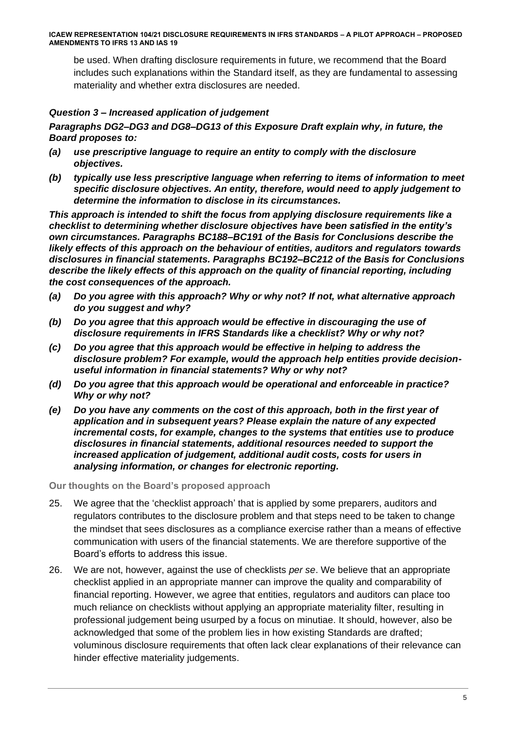be used. When drafting disclosure requirements in future, we recommend that the Board includes such explanations within the Standard itself, as they are fundamental to assessing materiality and whether extra disclosures are needed.

## *Question 3 – Increased application of judgement*

*Paragraphs DG2–DG3 and DG8–DG13 of this Exposure Draft explain why, in future, the Board proposes to:*

- *(a) use prescriptive language to require an entity to comply with the disclosure objectives.*
- *(b) typically use less prescriptive language when referring to items of information to meet specific disclosure objectives. An entity, therefore, would need to apply judgement to determine the information to disclose in its circumstances.*

*This approach is intended to shift the focus from applying disclosure requirements like a checklist to determining whether disclosure objectives have been satisfied in the entity's own circumstances. Paragraphs BC188–BC191 of the Basis for Conclusions describe the likely effects of this approach on the behaviour of entities, auditors and regulators towards disclosures in financial statements. Paragraphs BC192–BC212 of the Basis for Conclusions describe the likely effects of this approach on the quality of financial reporting, including the cost consequences of the approach.* 

- *(a) Do you agree with this approach? Why or why not? If not, what alternative approach do you suggest and why?*
- *(b) Do you agree that this approach would be effective in discouraging the use of disclosure requirements in IFRS Standards like a checklist? Why or why not?*
- *(c) Do you agree that this approach would be effective in helping to address the disclosure problem? For example, would the approach help entities provide decisionuseful information in financial statements? Why or why not?*
- *(d) Do you agree that this approach would be operational and enforceable in practice? Why or why not?*
- *(e) Do you have any comments on the cost of this approach, both in the first year of application and in subsequent years? Please explain the nature of any expected incremental costs, for example, changes to the systems that entities use to produce disclosures in financial statements, additional resources needed to support the increased application of judgement, additional audit costs, costs for users in analysing information, or changes for electronic reporting.*

**Our thoughts on the Board's proposed approach**

- 25. We agree that the 'checklist approach' that is applied by some preparers, auditors and regulators contributes to the disclosure problem and that steps need to be taken to change the mindset that sees disclosures as a compliance exercise rather than a means of effective communication with users of the financial statements. We are therefore supportive of the Board's efforts to address this issue.
- 26. We are not, however, against the use of checklists *per se*. We believe that an appropriate checklist applied in an appropriate manner can improve the quality and comparability of financial reporting. However, we agree that entities, regulators and auditors can place too much reliance on checklists without applying an appropriate materiality filter, resulting in professional judgement being usurped by a focus on minutiae. It should, however, also be acknowledged that some of the problem lies in how existing Standards are drafted; voluminous disclosure requirements that often lack clear explanations of their relevance can hinder effective materiality judgements.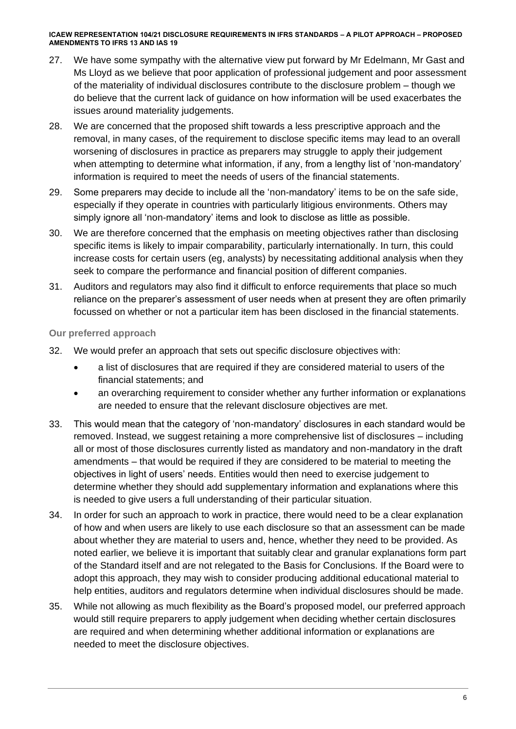- 27. We have some sympathy with the alternative view put forward by Mr Edelmann, Mr Gast and Ms Lloyd as we believe that poor application of professional judgement and poor assessment of the materiality of individual disclosures contribute to the disclosure problem – though we do believe that the current lack of guidance on how information will be used exacerbates the issues around materiality judgements.
- 28. We are concerned that the proposed shift towards a less prescriptive approach and the removal, in many cases, of the requirement to disclose specific items may lead to an overall worsening of disclosures in practice as preparers may struggle to apply their judgement when attempting to determine what information, if any, from a lengthy list of 'non-mandatory' information is required to meet the needs of users of the financial statements.
- 29. Some preparers may decide to include all the 'non-mandatory' items to be on the safe side, especially if they operate in countries with particularly litigious environments. Others may simply ignore all 'non-mandatory' items and look to disclose as little as possible.
- 30. We are therefore concerned that the emphasis on meeting objectives rather than disclosing specific items is likely to impair comparability, particularly internationally. In turn, this could increase costs for certain users (eg, analysts) by necessitating additional analysis when they seek to compare the performance and financial position of different companies.
- 31. Auditors and regulators may also find it difficult to enforce requirements that place so much reliance on the preparer's assessment of user needs when at present they are often primarily focussed on whether or not a particular item has been disclosed in the financial statements.

## **Our preferred approach**

- 32. We would prefer an approach that sets out specific disclosure objectives with:
	- a list of disclosures that are required if they are considered material to users of the financial statements; and
	- an overarching requirement to consider whether any further information or explanations are needed to ensure that the relevant disclosure objectives are met.
- 33. This would mean that the category of 'non-mandatory' disclosures in each standard would be removed. Instead, we suggest retaining a more comprehensive list of disclosures – including all or most of those disclosures currently listed as mandatory and non-mandatory in the draft amendments – that would be required if they are considered to be material to meeting the objectives in light of users' needs. Entities would then need to exercise judgement to determine whether they should add supplementary information and explanations where this is needed to give users a full understanding of their particular situation.
- 34. In order for such an approach to work in practice, there would need to be a clear explanation of how and when users are likely to use each disclosure so that an assessment can be made about whether they are material to users and, hence, whether they need to be provided. As noted earlier, we believe it is important that suitably clear and granular explanations form part of the Standard itself and are not relegated to the Basis for Conclusions. If the Board were to adopt this approach, they may wish to consider producing additional educational material to help entities, auditors and regulators determine when individual disclosures should be made.
- 35. While not allowing as much flexibility as the Board's proposed model, our preferred approach would still require preparers to apply judgement when deciding whether certain disclosures are required and when determining whether additional information or explanations are needed to meet the disclosure objectives.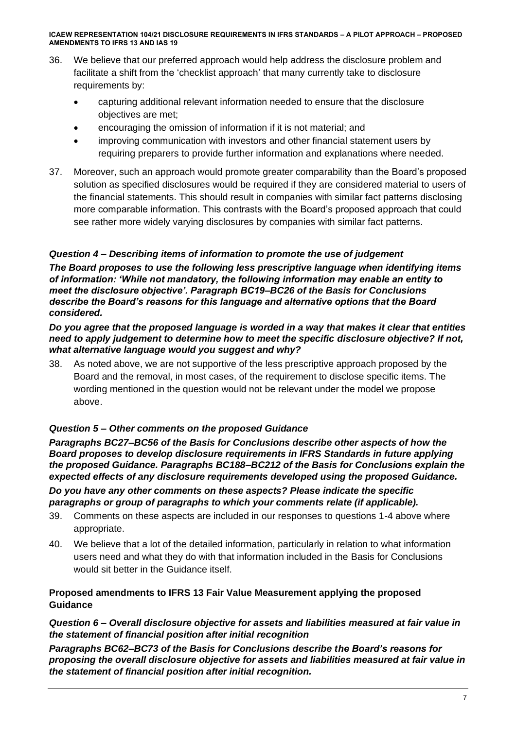- 36. We believe that our preferred approach would help address the disclosure problem and facilitate a shift from the 'checklist approach' that many currently take to disclosure requirements by:
	- capturing additional relevant information needed to ensure that the disclosure objectives are met;
	- encouraging the omission of information if it is not material; and
	- improving communication with investors and other financial statement users by requiring preparers to provide further information and explanations where needed.
- 37. Moreover, such an approach would promote greater comparability than the Board's proposed solution as specified disclosures would be required if they are considered material to users of the financial statements. This should result in companies with similar fact patterns disclosing more comparable information. This contrasts with the Board's proposed approach that could see rather more widely varying disclosures by companies with similar fact patterns.

# *Question 4 – Describing items of information to promote the use of judgement*

*The Board proposes to use the following less prescriptive language when identifying items of information: 'While not mandatory, the following information may enable an entity to meet the disclosure objective'. Paragraph BC19–BC26 of the Basis for Conclusions describe the Board's reasons for this language and alternative options that the Board considered.* 

### *Do you agree that the proposed language is worded in a way that makes it clear that entities need to apply judgement to determine how to meet the specific disclosure objective? If not, what alternative language would you suggest and why?*

38. As noted above, we are not supportive of the less prescriptive approach proposed by the Board and the removal, in most cases, of the requirement to disclose specific items. The wording mentioned in the question would not be relevant under the model we propose above.

# *Question 5 – Other comments on the proposed Guidance*

*Paragraphs BC27–BC56 of the Basis for Conclusions describe other aspects of how the Board proposes to develop disclosure requirements in IFRS Standards in future applying the proposed Guidance. Paragraphs BC188–BC212 of the Basis for Conclusions explain the expected effects of any disclosure requirements developed using the proposed Guidance.* 

*Do you have any other comments on these aspects? Please indicate the specific paragraphs or group of paragraphs to which your comments relate (if applicable).*

- 39. Comments on these aspects are included in our responses to questions 1-4 above where appropriate.
- 40. We believe that a lot of the detailed information, particularly in relation to what information users need and what they do with that information included in the Basis for Conclusions would sit better in the Guidance itself.

# **Proposed amendments to IFRS 13 Fair Value Measurement applying the proposed Guidance**

# *Question 6 – Overall disclosure objective for assets and liabilities measured at fair value in the statement of financial position after initial recognition*

*Paragraphs BC62–BC73 of the Basis for Conclusions describe the Board's reasons for proposing the overall disclosure objective for assets and liabilities measured at fair value in the statement of financial position after initial recognition.*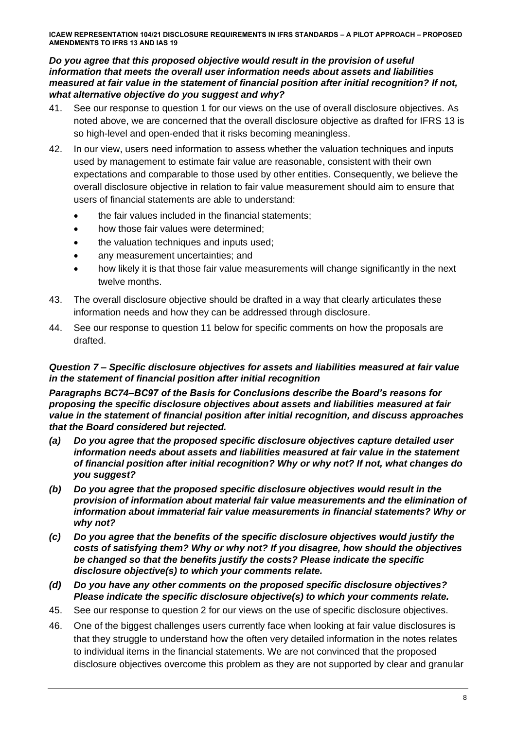### *Do you agree that this proposed objective would result in the provision of useful information that meets the overall user information needs about assets and liabilities measured at fair value in the statement of financial position after initial recognition? If not, what alternative objective do you suggest and why?*

- 41. See our response to question 1 for our views on the use of overall disclosure objectives. As noted above, we are concerned that the overall disclosure objective as drafted for IFRS 13 is so high-level and open-ended that it risks becoming meaningless.
- 42. In our view, users need information to assess whether the valuation techniques and inputs used by management to estimate fair value are reasonable, consistent with their own expectations and comparable to those used by other entities. Consequently, we believe the overall disclosure objective in relation to fair value measurement should aim to ensure that users of financial statements are able to understand:
	- the fair values included in the financial statements:
	- how those fair values were determined;
	- the valuation techniques and inputs used;
	- any measurement uncertainties; and
	- how likely it is that those fair value measurements will change significantly in the next twelve months.
- 43. The overall disclosure objective should be drafted in a way that clearly articulates these information needs and how they can be addressed through disclosure.
- 44. See our response to question 11 below for specific comments on how the proposals are drafted.

### *Question 7 – Specific disclosure objectives for assets and liabilities measured at fair value in the statement of financial position after initial recognition*

*Paragraphs BC74–BC97 of the Basis for Conclusions describe the Board's reasons for proposing the specific disclosure objectives about assets and liabilities measured at fair value in the statement of financial position after initial recognition, and discuss approaches that the Board considered but rejected.* 

- *(a) Do you agree that the proposed specific disclosure objectives capture detailed user information needs about assets and liabilities measured at fair value in the statement of financial position after initial recognition? Why or why not? If not, what changes do you suggest?*
- *(b) Do you agree that the proposed specific disclosure objectives would result in the provision of information about material fair value measurements and the elimination of information about immaterial fair value measurements in financial statements? Why or why not?*
- *(c) Do you agree that the benefits of the specific disclosure objectives would justify the costs of satisfying them? Why or why not? If you disagree, how should the objectives be changed so that the benefits justify the costs? Please indicate the specific disclosure objective(s) to which your comments relate.*
- *(d) Do you have any other comments on the proposed specific disclosure objectives? Please indicate the specific disclosure objective(s) to which your comments relate.*
- 45. See our response to question 2 for our views on the use of specific disclosure objectives.
- 46. One of the biggest challenges users currently face when looking at fair value disclosures is that they struggle to understand how the often very detailed information in the notes relates to individual items in the financial statements. We are not convinced that the proposed disclosure objectives overcome this problem as they are not supported by clear and granular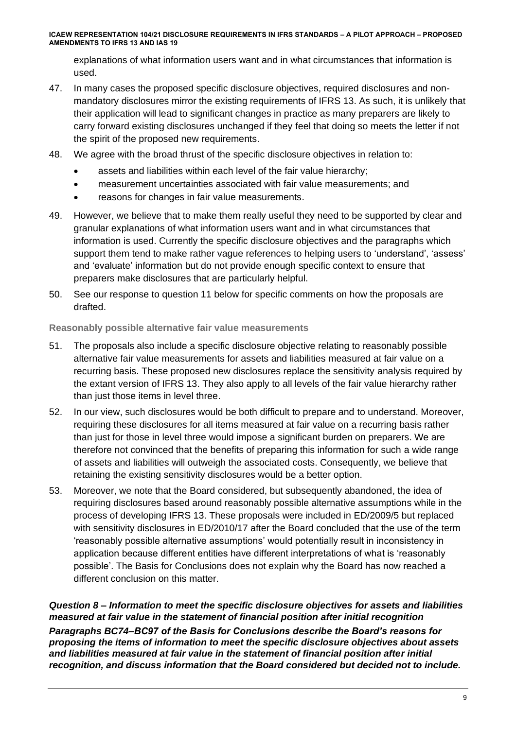explanations of what information users want and in what circumstances that information is used.

- 47. In many cases the proposed specific disclosure objectives, required disclosures and nonmandatory disclosures mirror the existing requirements of IFRS 13. As such, it is unlikely that their application will lead to significant changes in practice as many preparers are likely to carry forward existing disclosures unchanged if they feel that doing so meets the letter if not the spirit of the proposed new requirements.
- 48. We agree with the broad thrust of the specific disclosure objectives in relation to:
	- assets and liabilities within each level of the fair value hierarchy;
	- measurement uncertainties associated with fair value measurements; and
	- reasons for changes in fair value measurements.
- 49. However, we believe that to make them really useful they need to be supported by clear and granular explanations of what information users want and in what circumstances that information is used. Currently the specific disclosure objectives and the paragraphs which support them tend to make rather vague references to helping users to 'understand', 'assess' and 'evaluate' information but do not provide enough specific context to ensure that preparers make disclosures that are particularly helpful.
- 50. See our response to question 11 below for specific comments on how the proposals are drafted.

### **Reasonably possible alternative fair value measurements**

- 51. The proposals also include a specific disclosure objective relating to reasonably possible alternative fair value measurements for assets and liabilities measured at fair value on a recurring basis. These proposed new disclosures replace the sensitivity analysis required by the extant version of IFRS 13. They also apply to all levels of the fair value hierarchy rather than just those items in level three.
- 52. In our view, such disclosures would be both difficult to prepare and to understand. Moreover, requiring these disclosures for all items measured at fair value on a recurring basis rather than just for those in level three would impose a significant burden on preparers. We are therefore not convinced that the benefits of preparing this information for such a wide range of assets and liabilities will outweigh the associated costs. Consequently, we believe that retaining the existing sensitivity disclosures would be a better option.
- 53. Moreover, we note that the Board considered, but subsequently abandoned, the idea of requiring disclosures based around reasonably possible alternative assumptions while in the process of developing IFRS 13. These proposals were included in ED/2009/5 but replaced with sensitivity disclosures in ED/2010/17 after the Board concluded that the use of the term 'reasonably possible alternative assumptions' would potentially result in inconsistency in application because different entities have different interpretations of what is 'reasonably possible'. The Basis for Conclusions does not explain why the Board has now reached a different conclusion on this matter.

*Question 8 – Information to meet the specific disclosure objectives for assets and liabilities measured at fair value in the statement of financial position after initial recognition Paragraphs BC74–BC97 of the Basis for Conclusions describe the Board's reasons for proposing the items of information to meet the specific disclosure objectives about assets and liabilities measured at fair value in the statement of financial position after initial recognition, and discuss information that the Board considered but decided not to include.*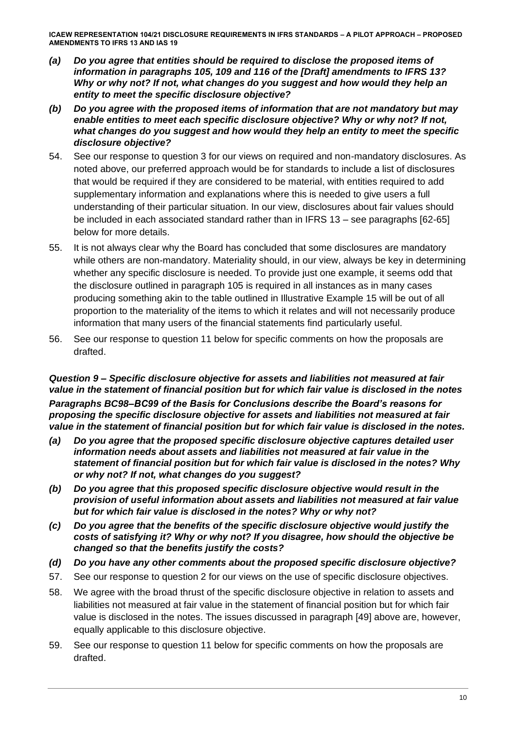- *(a) Do you agree that entities should be required to disclose the proposed items of information in paragraphs 105, 109 and 116 of the [Draft] amendments to IFRS 13? Why or why not? If not, what changes do you suggest and how would they help an entity to meet the specific disclosure objective?*
- *(b) Do you agree with the proposed items of information that are not mandatory but may enable entities to meet each specific disclosure objective? Why or why not? If not, what changes do you suggest and how would they help an entity to meet the specific disclosure objective?*
- 54. See our response to question 3 for our views on required and non-mandatory disclosures. As noted above, our preferred approach would be for standards to include a list of disclosures that would be required if they are considered to be material, with entities required to add supplementary information and explanations where this is needed to give users a full understanding of their particular situation. In our view, disclosures about fair values should be included in each associated standard rather than in IFRS 13 – see paragraphs [62-65] below for more details.
- 55. It is not always clear why the Board has concluded that some disclosures are mandatory while others are non-mandatory. Materiality should, in our view, always be key in determining whether any specific disclosure is needed. To provide just one example, it seems odd that the disclosure outlined in paragraph 105 is required in all instances as in many cases producing something akin to the table outlined in Illustrative Example 15 will be out of all proportion to the materiality of the items to which it relates and will not necessarily produce information that many users of the financial statements find particularly useful.
- 56. See our response to question 11 below for specific comments on how the proposals are drafted.

*Question 9 – Specific disclosure objective for assets and liabilities not measured at fair value in the statement of financial position but for which fair value is disclosed in the notes Paragraphs BC98–BC99 of the Basis for Conclusions describe the Board's reasons for proposing the specific disclosure objective for assets and liabilities not measured at fair value in the statement of financial position but for which fair value is disclosed in the notes.* 

- *(a) Do you agree that the proposed specific disclosure objective captures detailed user information needs about assets and liabilities not measured at fair value in the statement of financial position but for which fair value is disclosed in the notes? Why or why not? If not, what changes do you suggest?*
- *(b) Do you agree that this proposed specific disclosure objective would result in the provision of useful information about assets and liabilities not measured at fair value but for which fair value is disclosed in the notes? Why or why not?*
- *(c) Do you agree that the benefits of the specific disclosure objective would justify the costs of satisfying it? Why or why not? If you disagree, how should the objective be changed so that the benefits justify the costs?*
- *(d) Do you have any other comments about the proposed specific disclosure objective?*
- 57. See our response to question 2 for our views on the use of specific disclosure objectives.
- 58. We agree with the broad thrust of the specific disclosure objective in relation to assets and liabilities not measured at fair value in the statement of financial position but for which fair value is disclosed in the notes. The issues discussed in paragraph [49] above are, however, equally applicable to this disclosure objective.
- 59. See our response to question 11 below for specific comments on how the proposals are drafted.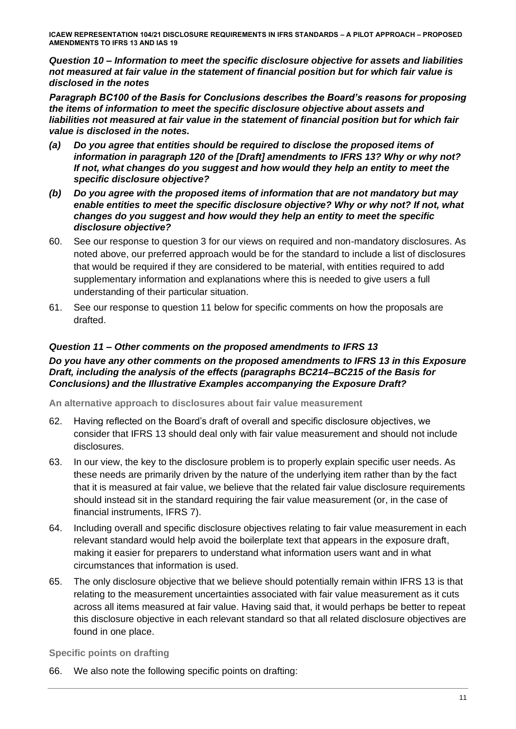*Question 10 – Information to meet the specific disclosure objective for assets and liabilities not measured at fair value in the statement of financial position but for which fair value is disclosed in the notes*

*Paragraph BC100 of the Basis for Conclusions describes the Board's reasons for proposing the items of information to meet the specific disclosure objective about assets and liabilities not measured at fair value in the statement of financial position but for which fair value is disclosed in the notes.* 

- *(a) Do you agree that entities should be required to disclose the proposed items of information in paragraph 120 of the [Draft] amendments to IFRS 13? Why or why not? If not, what changes do you suggest and how would they help an entity to meet the specific disclosure objective?*
- *(b) Do you agree with the proposed items of information that are not mandatory but may enable entities to meet the specific disclosure objective? Why or why not? If not, what changes do you suggest and how would they help an entity to meet the specific disclosure objective?*
- 60. See our response to question 3 for our views on required and non-mandatory disclosures. As noted above, our preferred approach would be for the standard to include a list of disclosures that would be required if they are considered to be material, with entities required to add supplementary information and explanations where this is needed to give users a full understanding of their particular situation.
- 61. See our response to question 11 below for specific comments on how the proposals are drafted.

# *Question 11 – Other comments on the proposed amendments to IFRS 13*

# *Do you have any other comments on the proposed amendments to IFRS 13 in this Exposure Draft, including the analysis of the effects (paragraphs BC214–BC215 of the Basis for Conclusions) and the Illustrative Examples accompanying the Exposure Draft?*

**An alternative approach to disclosures about fair value measurement**

- 62. Having reflected on the Board's draft of overall and specific disclosure objectives, we consider that IFRS 13 should deal only with fair value measurement and should not include disclosures.
- 63. In our view, the key to the disclosure problem is to properly explain specific user needs. As these needs are primarily driven by the nature of the underlying item rather than by the fact that it is measured at fair value, we believe that the related fair value disclosure requirements should instead sit in the standard requiring the fair value measurement (or, in the case of financial instruments, IFRS 7).
- 64. Including overall and specific disclosure objectives relating to fair value measurement in each relevant standard would help avoid the boilerplate text that appears in the exposure draft, making it easier for preparers to understand what information users want and in what circumstances that information is used.
- 65. The only disclosure objective that we believe should potentially remain within IFRS 13 is that relating to the measurement uncertainties associated with fair value measurement as it cuts across all items measured at fair value. Having said that, it would perhaps be better to repeat this disclosure objective in each relevant standard so that all related disclosure objectives are found in one place.

**Specific points on drafting**

66. We also note the following specific points on drafting: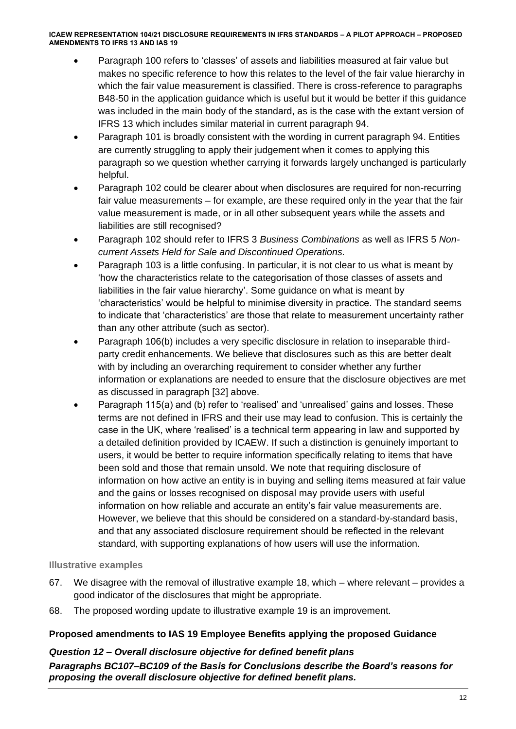- Paragraph 100 refers to 'classes' of assets and liabilities measured at fair value but makes no specific reference to how this relates to the level of the fair value hierarchy in which the fair value measurement is classified. There is cross-reference to paragraphs B48-50 in the application guidance which is useful but it would be better if this guidance was included in the main body of the standard, as is the case with the extant version of IFRS 13 which includes similar material in current paragraph 94.
- Paragraph 101 is broadly consistent with the wording in current paragraph 94. Entities are currently struggling to apply their judgement when it comes to applying this paragraph so we question whether carrying it forwards largely unchanged is particularly helpful.
- Paragraph 102 could be clearer about when disclosures are required for non-recurring fair value measurements – for example, are these required only in the year that the fair value measurement is made, or in all other subsequent years while the assets and liabilities are still recognised?
- Paragraph 102 should refer to IFRS 3 *Business Combinations* as well as IFRS 5 *Noncurrent Assets Held for Sale and Discontinued Operations.*
- Paragraph 103 is a little confusing. In particular, it is not clear to us what is meant by 'how the characteristics relate to the categorisation of those classes of assets and liabilities in the fair value hierarchy'. Some guidance on what is meant by 'characteristics' would be helpful to minimise diversity in practice. The standard seems to indicate that 'characteristics' are those that relate to measurement uncertainty rather than any other attribute (such as sector).
- Paragraph 106(b) includes a very specific disclosure in relation to inseparable thirdparty credit enhancements. We believe that disclosures such as this are better dealt with by including an overarching requirement to consider whether any further information or explanations are needed to ensure that the disclosure objectives are met as discussed in paragraph [32] above.
- Paragraph 115(a) and (b) refer to 'realised' and 'unrealised' gains and losses. These terms are not defined in IFRS and their use may lead to confusion. This is certainly the case in the UK, where 'realised' is a technical term appearing in law and supported by a detailed definition provided by ICAEW. If such a distinction is genuinely important to users, it would be better to require information specifically relating to items that have been sold and those that remain unsold. We note that requiring disclosure of information on how active an entity is in buying and selling items measured at fair value and the gains or losses recognised on disposal may provide users with useful information on how reliable and accurate an entity's fair value measurements are. However, we believe that this should be considered on a standard-by-standard basis, and that any associated disclosure requirement should be reflected in the relevant standard, with supporting explanations of how users will use the information.

# **Illustrative examples**

- 67. We disagree with the removal of illustrative example 18, which where relevant provides a good indicator of the disclosures that might be appropriate.
- 68. The proposed wording update to illustrative example 19 is an improvement.

# **Proposed amendments to IAS 19 Employee Benefits applying the proposed Guidance**

# *Question 12 – Overall disclosure objective for defined benefit plans*

*Paragraphs BC107–BC109 of the Basis for Conclusions describe the Board's reasons for proposing the overall disclosure objective for defined benefit plans.*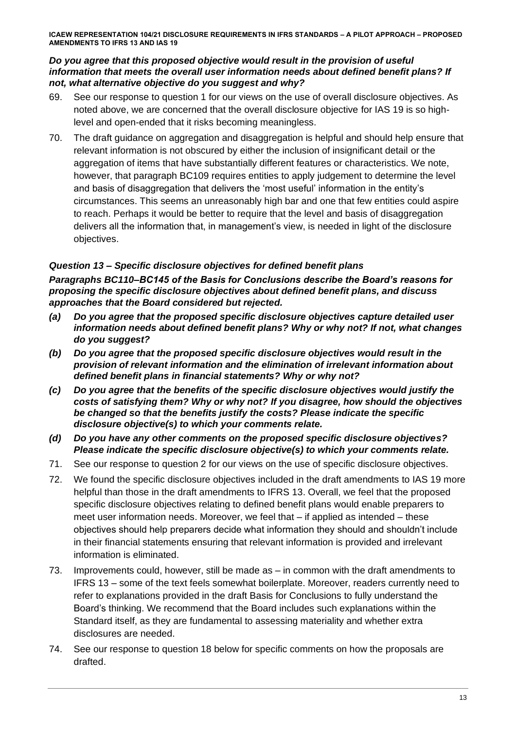# *Do you agree that this proposed objective would result in the provision of useful information that meets the overall user information needs about defined benefit plans? If not, what alternative objective do you suggest and why?*

- 69. See our response to question 1 for our views on the use of overall disclosure objectives. As noted above, we are concerned that the overall disclosure objective for IAS 19 is so highlevel and open-ended that it risks becoming meaningless.
- 70. The draft guidance on aggregation and disaggregation is helpful and should help ensure that relevant information is not obscured by either the inclusion of insignificant detail or the aggregation of items that have substantially different features or characteristics. We note, however, that paragraph BC109 requires entities to apply judgement to determine the level and basis of disaggregation that delivers the 'most useful' information in the entity's circumstances. This seems an unreasonably high bar and one that few entities could aspire to reach. Perhaps it would be better to require that the level and basis of disaggregation delivers all the information that, in management's view, is needed in light of the disclosure objectives.

# *Question 13 – Specific disclosure objectives for defined benefit plans*

*Paragraphs BC110–BC145 of the Basis for Conclusions describe the Board's reasons for proposing the specific disclosure objectives about defined benefit plans, and discuss approaches that the Board considered but rejected.* 

- *(a) Do you agree that the proposed specific disclosure objectives capture detailed user information needs about defined benefit plans? Why or why not? If not, what changes do you suggest?*
- *(b) Do you agree that the proposed specific disclosure objectives would result in the provision of relevant information and the elimination of irrelevant information about defined benefit plans in financial statements? Why or why not?*
- *(c) Do you agree that the benefits of the specific disclosure objectives would justify the costs of satisfying them? Why or why not? If you disagree, how should the objectives be changed so that the benefits justify the costs? Please indicate the specific disclosure objective(s) to which your comments relate.*
- *(d) Do you have any other comments on the proposed specific disclosure objectives? Please indicate the specific disclosure objective(s) to which your comments relate.*
- 71. See our response to question 2 for our views on the use of specific disclosure objectives.
- 72. We found the specific disclosure objectives included in the draft amendments to IAS 19 more helpful than those in the draft amendments to IFRS 13. Overall, we feel that the proposed specific disclosure objectives relating to defined benefit plans would enable preparers to meet user information needs. Moreover, we feel that – if applied as intended – these objectives should help preparers decide what information they should and shouldn't include in their financial statements ensuring that relevant information is provided and irrelevant information is eliminated.
- 73. Improvements could, however, still be made as in common with the draft amendments to IFRS 13 – some of the text feels somewhat boilerplate. Moreover, readers currently need to refer to explanations provided in the draft Basis for Conclusions to fully understand the Board's thinking. We recommend that the Board includes such explanations within the Standard itself, as they are fundamental to assessing materiality and whether extra disclosures are needed.
- 74. See our response to question 18 below for specific comments on how the proposals are drafted.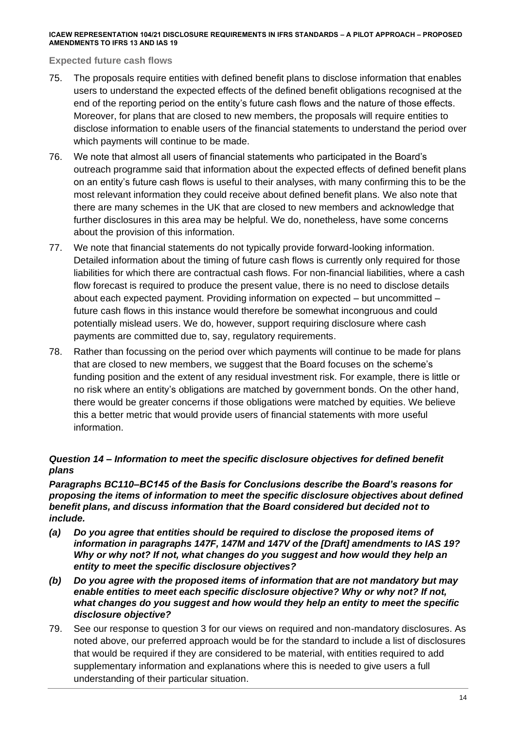### **Expected future cash flows**

- 75. The proposals require entities with defined benefit plans to disclose information that enables users to understand the expected effects of the defined benefit obligations recognised at the end of the reporting period on the entity's future cash flows and the nature of those effects. Moreover, for plans that are closed to new members, the proposals will require entities to disclose information to enable users of the financial statements to understand the period over which payments will continue to be made.
- 76. We note that almost all users of financial statements who participated in the Board's outreach programme said that information about the expected effects of defined benefit plans on an entity's future cash flows is useful to their analyses, with many confirming this to be the most relevant information they could receive about defined benefit plans. We also note that there are many schemes in the UK that are closed to new members and acknowledge that further disclosures in this area may be helpful. We do, nonetheless, have some concerns about the provision of this information.
- 77. We note that financial statements do not typically provide forward-looking information. Detailed information about the timing of future cash flows is currently only required for those liabilities for which there are contractual cash flows. For non-financial liabilities, where a cash flow forecast is required to produce the present value, there is no need to disclose details about each expected payment. Providing information on expected – but uncommitted – future cash flows in this instance would therefore be somewhat incongruous and could potentially mislead users. We do, however, support requiring disclosure where cash payments are committed due to, say, regulatory requirements.
- 78. Rather than focussing on the period over which payments will continue to be made for plans that are closed to new members, we suggest that the Board focuses on the scheme's funding position and the extent of any residual investment risk. For example, there is little or no risk where an entity's obligations are matched by government bonds. On the other hand, there would be greater concerns if those obligations were matched by equities. We believe this a better metric that would provide users of financial statements with more useful information.

# *Question 14 – Information to meet the specific disclosure objectives for defined benefit plans*

*Paragraphs BC110–BC145 of the Basis for Conclusions describe the Board's reasons for proposing the items of information to meet the specific disclosure objectives about defined benefit plans, and discuss information that the Board considered but decided not to include.* 

- *(a) Do you agree that entities should be required to disclose the proposed items of information in paragraphs 147F, 147M and 147V of the [Draft] amendments to IAS 19? Why or why not? If not, what changes do you suggest and how would they help an entity to meet the specific disclosure objectives?*
- *(b) Do you agree with the proposed items of information that are not mandatory but may enable entities to meet each specific disclosure objective? Why or why not? If not, what changes do you suggest and how would they help an entity to meet the specific disclosure objective?*
- 79. See our response to question 3 for our views on required and non-mandatory disclosures. As noted above, our preferred approach would be for the standard to include a list of disclosures that would be required if they are considered to be material, with entities required to add supplementary information and explanations where this is needed to give users a full understanding of their particular situation.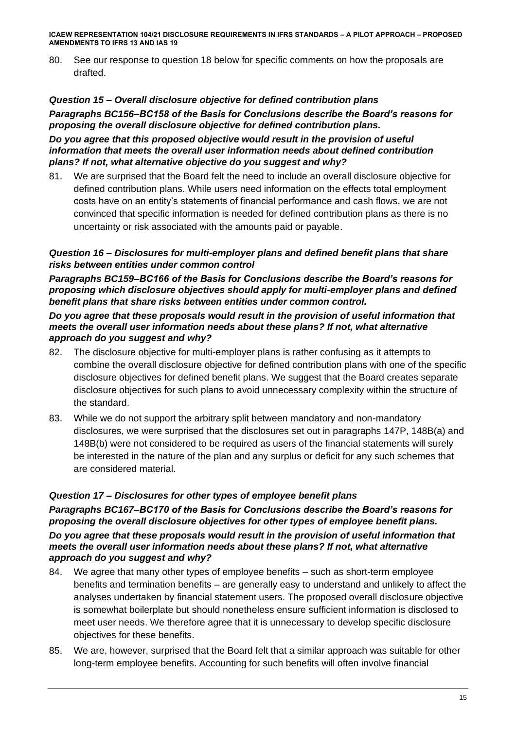80. See our response to question 18 below for specific comments on how the proposals are drafted.

# *Question 15 – Overall disclosure objective for defined contribution plans*

*Paragraphs BC156–BC158 of the Basis for Conclusions describe the Board's reasons for proposing the overall disclosure objective for defined contribution plans.* 

*Do you agree that this proposed objective would result in the provision of useful information that meets the overall user information needs about defined contribution plans? If not, what alternative objective do you suggest and why?*

81. We are surprised that the Board felt the need to include an overall disclosure objective for defined contribution plans. While users need information on the effects total employment costs have on an entity's statements of financial performance and cash flows, we are not convinced that specific information is needed for defined contribution plans as there is no uncertainty or risk associated with the amounts paid or payable.

# *Question 16 – Disclosures for multi-employer plans and defined benefit plans that share risks between entities under common control*

*Paragraphs BC159–BC166 of the Basis for Conclusions describe the Board's reasons for proposing which disclosure objectives should apply for multi-employer plans and defined benefit plans that share risks between entities under common control.* 

### *Do you agree that these proposals would result in the provision of useful information that meets the overall user information needs about these plans? If not, what alternative approach do you suggest and why?*

- 82. The disclosure objective for multi-employer plans is rather confusing as it attempts to combine the overall disclosure objective for defined contribution plans with one of the specific disclosure objectives for defined benefit plans. We suggest that the Board creates separate disclosure objectives for such plans to avoid unnecessary complexity within the structure of the standard.
- 83. While we do not support the arbitrary split between mandatory and non-mandatory disclosures, we were surprised that the disclosures set out in paragraphs 147P, 148B(a) and 148B(b) were not considered to be required as users of the financial statements will surely be interested in the nature of the plan and any surplus or deficit for any such schemes that are considered material.

### *Question 17 – Disclosures for other types of employee benefit plans*

*Paragraphs BC167–BC170 of the Basis for Conclusions describe the Board's reasons for proposing the overall disclosure objectives for other types of employee benefit plans. Do you agree that these proposals would result in the provision of useful information that meets the overall user information needs about these plans? If not, what alternative approach do you suggest and why?*

- 84. We agree that many other types of employee benefits such as short-term employee benefits and termination benefits – are generally easy to understand and unlikely to affect the analyses undertaken by financial statement users. The proposed overall disclosure objective is somewhat boilerplate but should nonetheless ensure sufficient information is disclosed to meet user needs. We therefore agree that it is unnecessary to develop specific disclosure objectives for these benefits.
- 85. We are, however, surprised that the Board felt that a similar approach was suitable for other long-term employee benefits. Accounting for such benefits will often involve financial